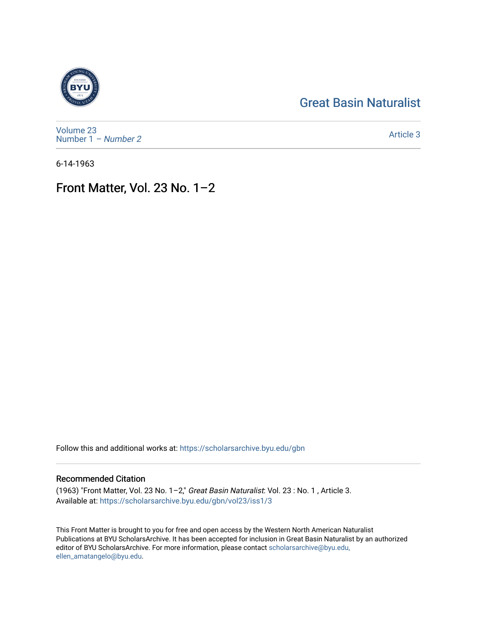## [Great Basin Naturalist](https://scholarsarchive.byu.edu/gbn)



[Volume 23](https://scholarsarchive.byu.edu/gbn/vol23) [Number 1](https://scholarsarchive.byu.edu/gbn/vol23/iss1) – Number 2

[Article 3](https://scholarsarchive.byu.edu/gbn/vol23/iss1/3) 

6-14-1963

## Front Matter, Vol. 23 No. 1–2

Follow this and additional works at: [https://scholarsarchive.byu.edu/gbn](https://scholarsarchive.byu.edu/gbn?utm_source=scholarsarchive.byu.edu%2Fgbn%2Fvol23%2Fiss1%2F3&utm_medium=PDF&utm_campaign=PDFCoverPages) 

#### Recommended Citation

(1963) "Front Matter, Vol. 23 No. 1–2," Great Basin Naturalist: Vol. 23 : No. 1 , Article 3. Available at: [https://scholarsarchive.byu.edu/gbn/vol23/iss1/3](https://scholarsarchive.byu.edu/gbn/vol23/iss1/3?utm_source=scholarsarchive.byu.edu%2Fgbn%2Fvol23%2Fiss1%2F3&utm_medium=PDF&utm_campaign=PDFCoverPages)

This Front Matter is brought to you for free and open access by the Western North American Naturalist Publications at BYU ScholarsArchive. It has been accepted for inclusion in Great Basin Naturalist by an authorized editor of BYU ScholarsArchive. For more information, please contact [scholarsarchive@byu.edu,](mailto:scholarsarchive@byu.edu,%20ellen_amatangelo@byu.edu) [ellen\\_amatangelo@byu.edu](mailto:scholarsarchive@byu.edu,%20ellen_amatangelo@byu.edu).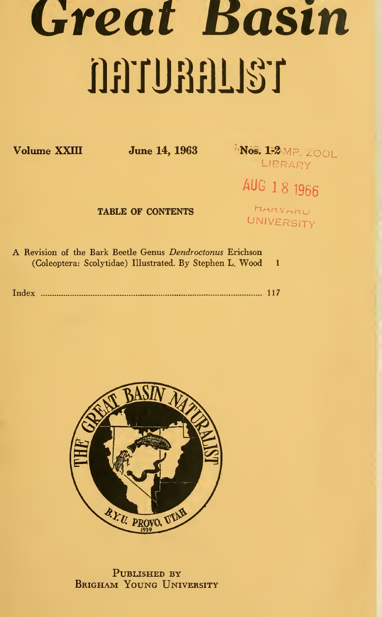# Great Basin

Volume XXIII June 14, 1963

**LIBRARY** *i***Nos. 1-2** MP. ZOOL

AUe <sup>1</sup> <sup>8</sup> <sup>1966</sup>

TABLE OF CONTENTS

HARVARD UNIVERSITY

A Revision of the Bark Beetle Genus *Dendroctonus* Erichson<br>(Coleoptera: Scolytidae) Illustrated. By Stephen L. Wood 1 (Coleoptera: Scolytidae) Illustrated. By Stephen L. Wood <sup>1</sup>

Index <sup>1</sup> <sup>1</sup>



PUBLISHED BY BRIGHAM YOUNG UNIVERSITY